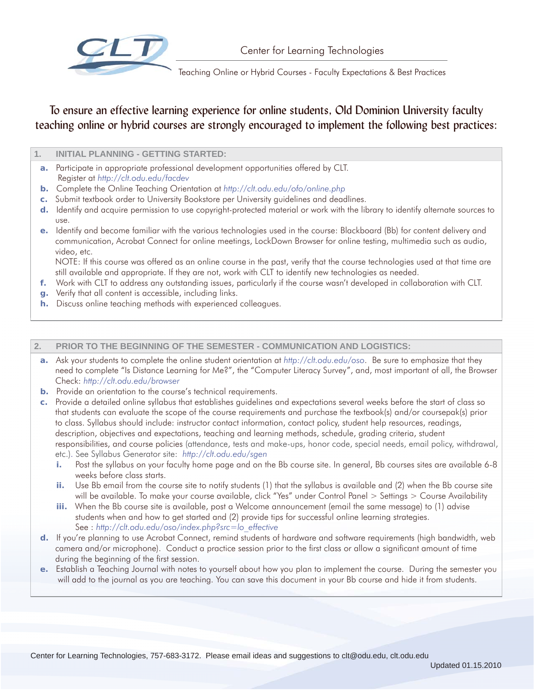

Teaching Online or Hybrid Courses - Faculty Expectations & Best Practices

# To ensure an effective learning experience for online students, Old Dominion University faculty teaching online or hybrid courses are strongly encouraged to implement the following best practices:

## **1. INITIAL PLANNING - GETTING STARTED:**

- **a.** Participate in appropriate professional development opportunities offered by CLT. Register at *http://clt.odu.edu/facdev*
- **b.** Complete the Online Teaching Orientation at *http://clt.odu.edu/ofo/online.php*
- **c.** Submit textbook order to University Bookstore per University guidelines and deadlines.
- **d.** Identify and acquire permission to use copyright-protected material or work with the library to identify alternate sources to use.
- **e.** Identify and become familiar with the various technologies used in the course: Blackboard (Bb) for content delivery and communication, Acrobat Connect for online meetings, LockDown Browser for online testing, multimedia such as audio, video, etc.

 NOTE: If this course was offered as an online course in the past, verify that the course technologies used at that time are still available and appropriate. If they are not, work with CLT to identify new technologies as needed.

- **f.** Work with CLT to address any outstanding issues, particularly if the course wasn't developed in collaboration with CLT.
- **g.** Verify that all content is accessible, including links.
- **h.** Discuss online teaching methods with experienced colleagues.

## **2. PRIOR TO THE BEGINNING OF THE SEMESTER - COMMUNICATION AND LOGISTICS:**

- **a.** Ask your students to complete the online student orientation at *http://clt.odu.edu/oso*. Be sure to emphasize that they need to complete "Is Distance Learning for Me?", the "Computer Literacy Survey", and, most important of all, the Browser Check: *http://clt.odu.edu/browser*
- **b.** Provide an orientation to the course's technical requirements.
- **c.** Provide a detailed online syllabus that establishes guidelines and expectations several weeks before the start of class so that students can evaluate the scope of the course requirements and purchase the textbook(s) and/or coursepak(s) prior to class. Syllabus should include: instructor contact information, contact policy, student help resources, readings, description, objectives and expectations, teaching and learning methods, schedule, grading criteria, student responsibilities, and course policies (attendance, tests and make-ups, honor code, special needs, email policy, withdrawal, etc.). See Syllabus Generator site: *http://clt.odu.edu/sgen*
	- **i.** Post the syllabus on your faculty home page and on the Bb course site. In general, Bb courses sites are available 6-8 weeks before class starts.
	- **ii.** Use Bb email from the course site to notify students (1) that the syllabus is available and (2) when the Bb course site will be available. To make your course available, click "Yes" under Control Panel > Settings > Course Availability
	- **iii.** When the Bb course site is available, post a Welcome announcement (email the same message) to (1) advise students when and how to get started and (2) provide tips for successful online learning strategies. See : *http://clt.odu.edu/oso/index.php?src=lo\_effective*
- **d.** If you're planning to use Acrobat Connect, remind students of hardware and software requirements (high bandwidth, web camera and/or microphone). Conduct a practice session prior to the first class or allow a significant amount of time during the beginning of the first session.
- **e.** Establish a Teaching Journal with notes to yourself about how you plan to implement the course. During the semester you will add to the journal as you are teaching. You can save this document in your Bb course and hide it from students.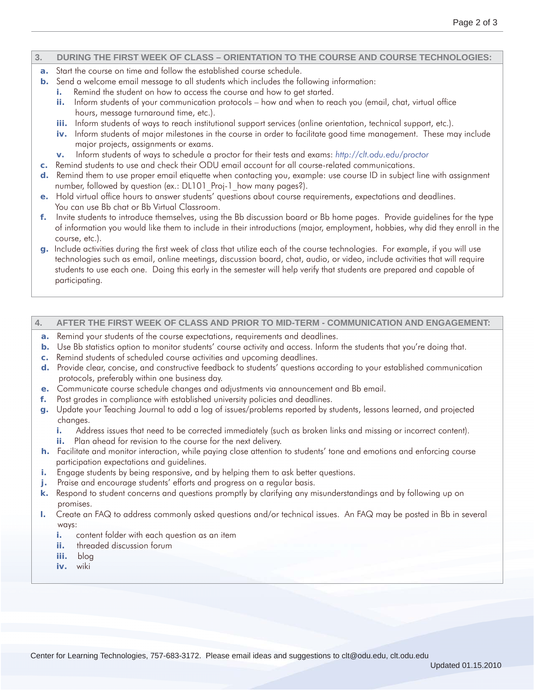### **3. DURING THE FIRST WEEK OF CLASS – ORIENTATION TO THE COURSE AND COURSE TECHNOLOGIES:**

- **a.** Start the course on time and follow the established course schedule.
- **b.** Send a welcome email message to all students which includes the following information:
	- **i.** Remind the student on how to access the course and how to get started.
	- ii. Inform students of your communication protocols how and when to reach you (email, chat, virtual office hours, message turnaround time, etc.).
	- **iii.** Inform students of ways to reach institutional support services (online orientation, technical support, etc.).
	- **iv.** Inform students of major milestones in the course in order to facilitate good time management. These may include major projects, assignments or exams.
	- **v.** Inform students of ways to schedule a proctor for their tests and exams: *http://clt.odu.edu/proctor*
- **c.** Remind students to use and check their ODU email account for all course-related communications.
- **d.** Remind them to use proper email etiquette when contacting you, example: use course ID in subject line with assignment number, followed by question (ex.: DL101 Proj-1 how many pages?).
- **e.** Hold virtual office hours to answer students' questions about course requirements, expectations and deadlines. You can use Bb chat or Bb Virtual Classroom.
- **f.** Invite students to introduce themselves, using the Bb discussion board or Bb home pages. Provide guidelines for the type of information you would like them to include in their introductions (major, employment, hobbies, why did they enroll in the course, etc.).
- **g.** Include activities during the first week of class that utilize each of the course technologies. For example, if you will use technologies such as email, online meetings, discussion board, chat, audio, or video, include activities that will require students to use each one. Doing this early in the semester will help verify that students are prepared and capable of participating.

#### **4. AFTER THE FIRST WEEK OF CLASS AND PRIOR TO MID-TERM - COMMUNICATION AND ENGAGEMENT:**

- **a.** Remind your students of the course expectations, requirements and deadlines.
- **b.** Use Bb statistics option to monitor students' course activity and access. Inform the students that you're doing that.
- **c.** Remind students of scheduled course activities and upcoming deadlines.
- **d.** Provide clear, concise, and constructive feedback to students' questions according to your established communication protocols, preferably within one business day.
- **e.** Communicate course schedule changes and adjustments via announcement and Bb email.
- **f.** Post grades in compliance with established university policies and deadlines.
- **g.** Update your Teaching Journal to add a log of issues/problems reported by students, lessons learned, and projected changes.
	- **i.** Address issues that need to be corrected immediately (such as broken links and missing or incorrect content).
	- **ii.** Plan ahead for revision to the course for the next delivery.
- **h.** Facilitate and monitor interaction, while paying close attention to students' tone and emotions and enforcing course participation expectations and guidelines.
- **i.** Engage students by being responsive, and by helping them to ask better questions.
- **j.** Praise and encourage students' efforts and progress on a regular basis.
- **k.** Respond to student concerns and questions promptly by clarifying any misunderstandings and by following up on promises.
- **l.** Create an FAQ to address commonly asked questions and/or technical issues. An FAQ may be posted in Bb in several ways:
	- **i.** content folder with each question as an item
	- **ii.** threaded discussion forum
	- **iii.** blog
	- **iv.** wiki